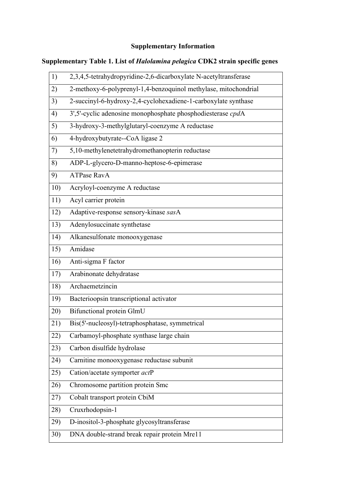## **Supplementary Information**

## **Supplementary Table 1. List of** *Halolamina pelagica* **CDK2 strain specific genes**

| 1)  | 2,3,4,5-tetrahydropyridine-2,6-dicarboxylate N-acetyltransferase |
|-----|------------------------------------------------------------------|
| 2)  | 2-methoxy-6-polyprenyl-1,4-benzoquinol methylase, mitochondrial  |
| 3)  | 2-succinyl-6-hydroxy-2,4-cyclohexadiene-1-carboxylate synthase   |
| 4)  | 3',5'-cyclic adenosine monophosphate phosphodiesterase cpdA      |
| 5)  | 3-hydroxy-3-methylglutaryl-coenzyme A reductase                  |
| 6)  | 4-hydroxybutyrate--CoA ligase 2                                  |
| 7)  | 5,10-methylenetetrahydromethanopterin reductase                  |
| 8)  | ADP-L-glycero-D-manno-heptose-6-epimerase                        |
| 9)  | <b>ATPase RavA</b>                                               |
| 10) | Acryloyl-coenzyme A reductase                                    |
| 11) | Acyl carrier protein                                             |
| 12) | Adaptive-response sensory-kinase sasA                            |
| 13) | Adenylosuccinate synthetase                                      |
| 14) | Alkanesulfonate monooxygenase                                    |
| 15) | Amidase                                                          |
| 16) | Anti-sigma F factor                                              |
| 17) | Arabinonate dehydratase                                          |
| 18) | Archaemetzincin                                                  |
| 19) | Bacterioopsin transcriptional activator                          |
| 20) | <b>Bifunctional protein GlmU</b>                                 |
| 21) | Bis(5'-nucleosyl)-tetraphosphatase, symmetrical                  |
| 22) | Carbamoyl-phosphate synthase large chain                         |
| 23) | Carbon disulfide hydrolase                                       |
| 24) | Carnitine monooxygenase reductase subunit                        |
| 25) | Cation/acetate symporter actP                                    |
| 26) | Chromosome partition protein Smc                                 |
| 27) | Cobalt transport protein CbiM                                    |
| 28) | Cruxrhodopsin-1                                                  |
| 29) | D-inositol-3-phosphate glycosyltransferase                       |
| 30) | DNA double-strand break repair protein Mre11                     |
|     |                                                                  |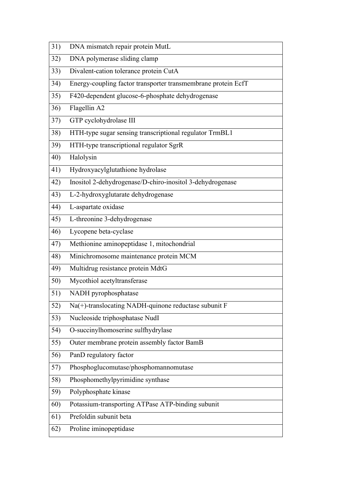| 31) | DNA mismatch repair protein MutL                              |
|-----|---------------------------------------------------------------|
| 32) | DNA polymerase sliding clamp                                  |
| 33) | Divalent-cation tolerance protein CutA                        |
| 34) | Energy-coupling factor transporter transmembrane protein EcfT |
| 35) | F420-dependent glucose-6-phosphate dehydrogenase              |
| 36) | Flagellin A2                                                  |
| 37) | GTP cyclohydrolase III                                        |
| 38) | HTH-type sugar sensing transcriptional regulator TrmBL1       |
| 39) | HTH-type transcriptional regulator SgrR                       |
| 40) | Halolysin                                                     |
| 41) | Hydroxyacylglutathione hydrolase                              |
| 42) | Inositol 2-dehydrogenase/D-chiro-inositol 3-dehydrogenase     |
| 43) | L-2-hydroxyglutarate dehydrogenase                            |
| 44) | L-aspartate oxidase                                           |
| 45) | L-threonine 3-dehydrogenase                                   |
| 46) | Lycopene beta-cyclase                                         |
| 47) | Methionine aminopeptidase 1, mitochondrial                    |
| 48) | Minichromosome maintenance protein MCM                        |
| 49) | Multidrug resistance protein MdtG                             |
| 50) | Mycothiol acetyltransferase                                   |
| 51) | NADH pyrophosphatase                                          |
| 52) | Na(+)-translocating NADH-quinone reductase subunit F          |
| 53) | Nucleoside triphosphatase NudI                                |
| 54) | O-succinylhomoserine sulfhydrylase                            |
| 55) | Outer membrane protein assembly factor BamB                   |
| 56) | PanD regulatory factor                                        |
| 57) | Phosphoglucomutase/phosphomannomutase                         |
| 58) | Phosphomethylpyrimidine synthase                              |
| 59) | Polyphosphate kinase                                          |
| 60) | Potassium-transporting ATPase ATP-binding subunit             |
| 61) | Prefoldin subunit beta                                        |
| 62) | Proline iminopeptidase                                        |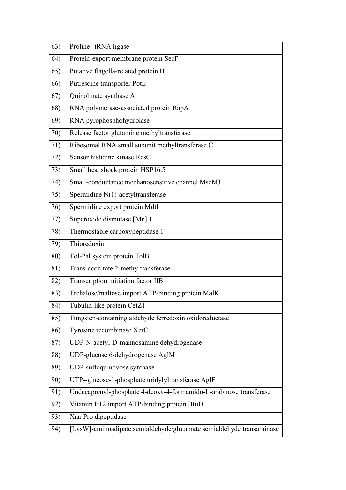| 63) | Proline--tRNA ligase                                               |
|-----|--------------------------------------------------------------------|
| 64) | Protein-export membrane protein SecF                               |
| 65) | Putative flagella-related protein H                                |
| 66) | Putrescine transporter PotE                                        |
| 67) | Quinolinate synthase A                                             |
| 68) | RNA polymerase-associated protein RapA                             |
| 69) | RNA pyrophosphohydrolase                                           |
| 70) | Release factor glutamine methyltransferase                         |
| 71) | Ribosomal RNA small subunit methyltransferase C                    |
| 72) | Sensor histidine kinase RcsC                                       |
| 73) | Small heat shock protein HSP16.5                                   |
| 74) | Small-conductance mechanosensitive channel MscMJ                   |
| 75) | Spermidine N(1)-acetyltransferase                                  |
| 76) | Spermidine export protein MdtI                                     |
| 77) | Superoxide dismutase [Mn] 1                                        |
| 78) | Thermostable carboxypeptidase 1                                    |
| 79) | Thioredoxin                                                        |
| 80) | Tol-Pal system protein TolB                                        |
| 81) | Trans-aconitate 2-methyltransferase                                |
| 82) | Transcription initiation factor IIB                                |
| 83) | Trehalose/maltose import ATP-binding protein MalK                  |
| 84) | Tubulin-like protein CetZ1                                         |
| 85) | Tungsten-containing aldehyde ferredoxin oxidoreductase             |
| 86) | Tyrosine recombinase XerC                                          |
| 87) | UDP-N-acetyl-D-mannosamine dehydrogenase                           |
| 88) | UDP-glucose 6-dehydrogenase AglM                                   |
| 89) | UDP-sulfoquinovose synthase                                        |
| 90) | UTP--glucose-1-phosphate uridylyltransferase AglF                  |
| 91) | Undecaprenyl-phosphate 4-deoxy-4-formamido-L-arabinose transferase |
| 92) | Vitamin B12 import ATP-binding protein BtuD                        |
| 93) |                                                                    |
|     | Xaa-Pro dipeptidase                                                |